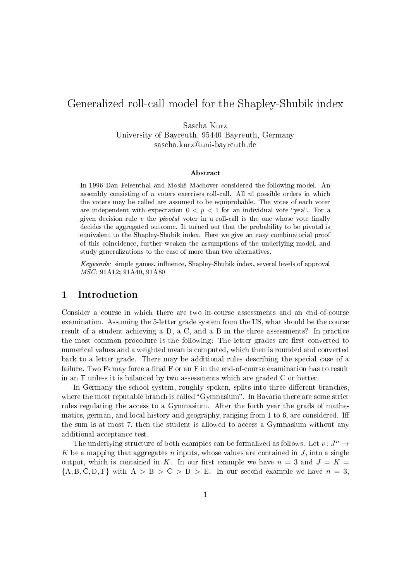# Generalized roll-call model for the Shapley-Shubik index

Sascha Kurz University of Bayreuth, 95440 Bayreuth, Germany sascha.kurz@uni-bayreuth.de

#### Abstract

In 1996 Dan Felsenthal and Moshé Machover considered the following model. An assembly consisting of  $n$  voters exercises roll-call. All  $n!$  possible orders in which the voters may be called are assumed to be equiprobable. The votes of each voter are independent with expectation  $0 < p < 1$  for an individual vote "yea". For a given decision rule  $v$  the *pivotal* voter in a roll-call is the one whose vote finally decides the aggregated outcome. It turned out that the probability to be pivotal is equivalent to the Shapley-Shubik index. Here we give an easy combinatorial proof of this coincidence, further weaken the assumptions of the underlying model, and study generalizations to the case of more than two alternatives.

Keywords: simple games, influence, Shapley-Shubik index, several levels of approval MSC: 91A12; 91A40, 91A80

### 1 Introduction

Consider a course in which there are two in-course assessments and an end-of-course examination. Assuming the 5-letter grade system from the US, what should be the course result of a student achieving a D, a C, and a B in the three assessments? In practice the most common procedure is the following: The letter grades are first converted to numerical values and a weighted mean is computed, which then is rounded and converted back to a letter grade. There may be additional rules describing the special case of a failure. Two Fs may force a final  $F$  or an  $F$  in the end-of-course examination has to result in an F unless it is balanced by two assessments which are graded C or better.

In Germany the school system, roughly spoken, splits into three different branches, where the most reputable branch is called "Gymnasium". In Bavaria there are some strict rules regulating the access to a Gymnasium. After the forth year the grads of mathematics, german, and local history and geography, ranging from 1 to 6, are considered. I the sum is at most 7, then the student is allowed to access a Gymnasium without any additional acceptance test.

The underlying structure of both examples can be formalized as follows. Let  $v\colon J^n\to$ K be a mapping that aggregates n inputs, whose values are contained in  $J$ , into a single output, which is contained in K. In our first example we have  $n = 3$  and  $J = K =$  ${A, B, C, D, F}$  with  $A > B > C > D > E$ . In our second example we have  $n = 3$ ,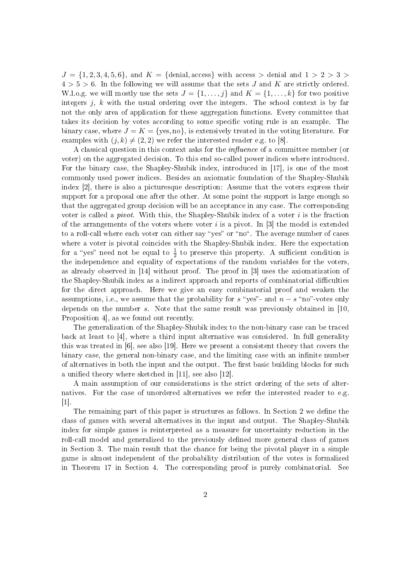$J = \{1, 2, 3, 4, 5, 6\}$ , and  $K = \{\text{denial, access}\}\$  with access  $>$  denial and  $1 > 2 > 3 >$  $4 > 5 > 6$ . In the following we will assume that the sets J and K are strictly ordered. W.l.o.g. we will mostly use the sets  $J = \{1, \ldots, j\}$  and  $K = \{1, \ldots, k\}$  for two positive integers  $j, k$  with the usual ordering over the integers. The school context is by far not the only area of application for these aggregation functions. Every committee that takes its decision by votes according to some specific voting rule is an example. The binary case, where  $J = K = \{$ yes, no $\}$ , is extensively treated in the voting literature. For examples with  $(j, k) \neq (2, 2)$  we refer the interested reader e.g. to [8].

A classical question in this context asks for the *influence* of a committee member (or voter) on the aggregated decision. To this end so-called power indices where introduced. For the binary case, the Shapley-Shubik index, introduced in [17], is one of the most commonly used power indices. Besides an axiomatic foundation of the Shapley-Shubik index [2], there is also a picturesque description: Assume that the voters express their support for a proposal one after the other. At some point the support is large enough so that the aggregated group decision will be an acceptance in any case. The corresponding voter is called a *pivot*. With this, the Shapley-Shubik index of a voter i is the fraction of the arrangements of the voters where voter  $i$  is a pivot. In [3] the model is extended to a roll-call where each voter can either say "yes" or "no". The average number of cases where a voter is pivotal coincides with the Shapley-Shubik index. Here the expectation for a "yes" need not be equal to  $\frac{1}{2}$  to preserve this property. A sufficient condition is the independence and equality of expectations of the random variables for the voters, as already observed in [14] without proof. The proof in [3] uses the axiomatization of the Shapley-Shubik index as a indirect approach and reports of combinatorial difficulties for the direct approach. Here we give an easy combinatorial proof and weaken the assumptions, i.e., we assume that the probability for s "yes"- and  $n - s$  "no"-votes only depends on the number s. Note that the same result was previously obtained in [10, Proposition 4], as we found out recently.

The generalization of the Shapley-Shubik index to the non-binary case can be traced back at least to [4], where a third input alternative was considered. In full generality this was treated in [6], see also [19]. Here we present a consistent theory that covers the binary case, the general non-binary case, and the limiting case with an infinite number of alternatives in both the input and the output. The first basic building blocks for such a unified theory where sketched in  $[11]$ , see also  $[12]$ .

A main assumption of our considerations is the strict ordering of the sets of alternatives. For the case of unordered alternatives we refer the interested reader to e.g.  $[1]$ .

The remaining part of this paper is structures as follows. In Section 2 we define the class of games with several alternatives in the input and output. The Shapley-Shubik index for simple games is reinterpreted as a measure for uncertainty reduction in the roll-call model and generalized to the previously defined more general class of games in Section 3. The main result that the chance for being the pivotal player in a simple game is almost independent of the probability distribution of the votes is formalized in Theorem 17 in Section 4. The corresponding proof is purely combinatorial. See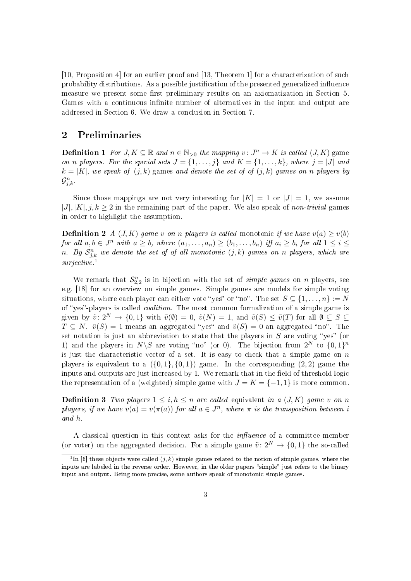[10, Proposition 4] for an earlier proof and [13, Theorem 1] for a characterization of such probability distributions. As a possible justification of the presented generalized influence measure we present some first preliminary results on an axiomatization in Section 5. Games with a continuous infinite number of alternatives in the input and output are addressed in Section 6. We draw a conclusion in Section 7.

# 2 Preliminaries

**Definition 1** For  $J, K \subseteq \mathbb{R}$  and  $n \in \mathbb{N}_{>0}$  the mapping  $v: J^n \to K$  is called  $(J, K)$  game on n players. For the special sets  $J = \{1, \ldots, j\}$  and  $K = \{1, \ldots, k\}$ , where  $j = |J|$  and  $k = |K|$ , we speak of  $(j, k)$  games and denote the set of of  $(j, k)$  games on n players by  $\mathcal{G}_{j,k}^n$  .

Since those mappings are not very interesting for  $|K| = 1$  or  $|J| = 1$ , we assume  $|J|, |K|, j, k \geq 2$  in the remaining part of the paper. We also speak of non-trivial games in order to highlight the assumption.

**Definition 2** A (J, K) game v on n players is called monotonic if we have  $v(a) > v(b)$ for all  $a, b \in J^n$  with  $a \geq b$ , where  $(a_1, \ldots, a_n) \geq (b_1, \ldots, b_n)$  iff  $a_i \geq b_i$  for all  $1 \leq i \leq j$ n. By  $\mathcal{S}_{j,k}^n$  we denote the set of of all monotonic  $(j,k)$  games on n players, which are  $surjective<sup>1</sup>$ 

We remark that  $S_{2,2}^n$  is in bijection with the set of *simple games* on *n* players, see e.g. [18] for an overview on simple games. Simple games are models for simple voting situations, where each player can either vote "yes" or "no". The set  $S \subseteq \{1, \ldots, n\} := N$ of "yes"-players is called *coalition*. The most common formalization of a simple game is given by  $\tilde{v}: 2^N \to \{0,1\}$  with  $\tilde{v}(\emptyset) = 0$ ,  $\tilde{v}(N) = 1$ , and  $\tilde{v}(S) \leq \tilde{v}(T)$  for all  $\emptyset \subseteq S \subseteq$  $T \subseteq N$ .  $\tilde{v}(S) = 1$  means an aggregated "yes" and  $\tilde{v}(S) = 0$  an aggregated "no". The set notation is just an abbreviation to state that the players in  $S$  are voting "yes" (or 1) and the players in  $N\backslash S$  are voting "no" (or 0). The bijection from  $2^N$  to  $\{0,1\}^n$ is just the characteristic vector of a set. It is easy to check that a simple game on  $n$ players is equivalent to a  $({0, 1}, {0, 1})$  game. In the corresponding  $(2, 2)$  game the inputs and outputs are just increased by  $1$ . We remark that in the field of threshold logic the representation of a (weighted) simple game with  $J = K = \{-1, 1\}$  is more common.

**Definition 3** Two players  $1 \le i, h \le n$  are called equivalent in a  $(J, K)$  game v on n players, if we have  $v(a) = v(\pi(a))$  for all  $a \in J^n$ , where  $\pi$  is the transposition between i and h.

A classical question in this context asks for the  $influence$  of a committee member (or voter) on the aggregated decision. For a simple game  $\tilde{v}: 2^N \to \{0,1\}$  the so-called

<sup>&</sup>lt;sup>1</sup>In [6] these objects were called  $(j,k)$  simple games related to the notion of simple games, where the inputs are labeled in the reverse order. However, in the older papers "simple" just refers to the binary input and output. Being more precise, some authors speak of monotonic simple games.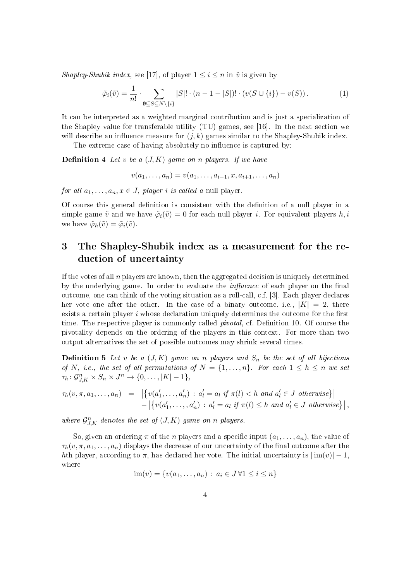Shapley-Shubik index, see [17], of player  $1 \leq i \leq n$  in  $\tilde{v}$  is given by

$$
\tilde{\varphi}_i(\tilde{v}) = \frac{1}{n!} \cdot \sum_{\emptyset \subseteq S \subseteq N \setminus \{i\}} |S|! \cdot (n-1-|S|)! \cdot (v(S \cup \{i\}) - v(S)). \tag{1}
$$

It can be interpreted as a weighted marginal contribution and is just a specialization of the Shapley value for transferable utility (TU) games, see [16]. In the next section we will describe an influence measure for  $(j, k)$  games similar to the Shapley-Shubik index.

The extreme case of having absolutely no influence is captured by:

**Definition 4** Let v be a  $(J, K)$  game on n players. If we have

$$
v(a_1,\ldots,a_n)=v(a_1,\ldots,a_{i-1},x,a_{i+1},\ldots,a_n)
$$

for all  $a_1, \ldots, a_n, x \in J$ , player i is called a null player.

Of course this general definition is consistent with the definition of a null player in a simple game  $\tilde{v}$  and we have  $\tilde{\varphi}_i(\tilde{v}) = 0$  for each null player i. For equivalent players h, i. we have  $\tilde{\varphi}_h(\tilde{v}) = \tilde{\varphi}_i(\tilde{v})$ .

# 3 The Shapley-Shubik index as a measurement for the reduction of uncertainty

If the votes of all  $n$  players are known, then the aggregated decision is uniquely determined by the underlying game. In order to evaluate the  $influence$  of each player on the final outcome, one can think of the voting situation as a roll-call, c.f. [3]. Each player declares her vote one after the other. In the case of a binary outcome, i.e.,  $|K| = 2$ , there exists a certain player  $i$  whose declaration uniquely determines the outcome for the first time. The respective player is commonly called *pivotal*, cf. Definition 10. Of course the pivotality depends on the ordering of the players in this context. For more than two output alternatives the set of possible outcomes may shrink several times.

**Definition 5** Let v be a  $(J, K)$  game on n players and  $S_n$  be the set of all bijections of N, i.e., the set of all permutations of  $N = \{1, ..., n\}$ . For each  $1 \leq h \leq n$  we set  $\tau_h: \mathcal{G}_{J,K}^n \times S_n \times J^n \to \{0,\ldots, |K|-1\},\$ 

$$
\tau_h(v, \pi, a_1, \dots, a_n) = \left| \left\{ v(a'_1, \dots, a'_n) : a'_l = a_l \text{ if } \pi(l) < h \text{ and } a'_l \in J \text{ otherwise} \right\} \right|
$$
\n
$$
- \left| \left\{ v(a'_1, \dots, a'_n) : a'_l = a_l \text{ if } \pi(l) \le h \text{ and } a'_l \in J \text{ otherwise} \right\} \right|,
$$

where  $\mathcal{G}_{J,K}^n$  denotes the set of  $(J,K)$  game on n players.

So, given an ordering  $\pi$  of the *n* players and a specific input  $(a_1, \ldots, a_n)$ , the value of  $\tau_h(v, \pi, a_1, \ldots, a_n)$  displays the decrease of our uncertainty of the final outcome after the hth player, according to  $\pi$ , has declared her vote. The initial uncertainty is  $|\text{im}(v)| - 1$ , where

$$
\operatorname{im}(v) = \{v(a_1, \ldots, a_n) : a_i \in J \,\forall 1 \leq i \leq n\}
$$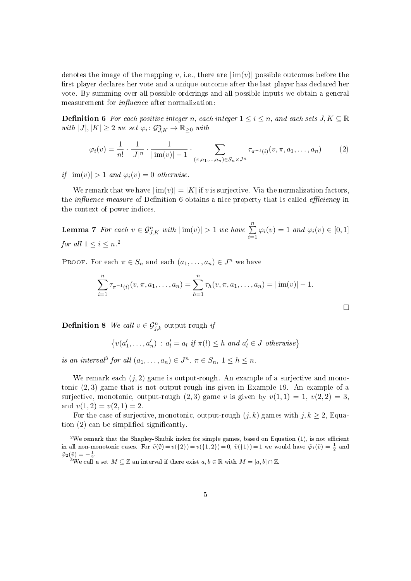denotes the image of the mapping v, i.e., there are  $|\text{im}(v)|$  possible outcomes before the first player declares her vote and a unique outcome after the last player has declared her vote. By summing over all possible orderings and all possible inputs we obtain a general measurement for  $influence$  after normalization:

**Definition 6** For each positive integer n, each integer  $1 \leq i \leq n$ , and each sets  $J, K \subseteq \mathbb{R}$ with  $|J|, |K| \geq 2$  we set  $\varphi_i : \mathcal{G}_{J,K}^n \to \mathbb{R}_{\geq 0}$  with

$$
\varphi_i(v) = \frac{1}{n!} \cdot \frac{1}{|J|^n} \cdot \frac{1}{|\operatorname{im}(v)| - 1} \cdot \sum_{(\pi, a_1, \dots, a_n) \in S_n \times J^n} \tau_{\pi^{-1}(i)}(v, \pi, a_1, \dots, a_n) \tag{2}
$$

if  $|\text{im}(v)| > 1$  and  $\varphi_i(v) = 0$  otherwise.

We remark that we have  $|\text{im}(v)| = |K|$  if v is surjective. Via the normalization factors, the *influence measure* of Definition 6 obtains a nice property that is called *efficiency* in the context of power indices.

**Lemma 7** For each 
$$
v \in \mathcal{G}_{J,K}^n
$$
 with  $|\text{im}(v)| > 1$  we have  $\sum_{i=1}^n \varphi_i(v) = 1$  and  $\varphi_i(v) \in [0,1]$   
for all  $1 \leq i \leq n$ .<sup>2</sup>

PROOF. For each  $\pi \in S_n$  and each  $(a_1, \ldots, a_n) \in J^n$  we have

$$
\sum_{i=1}^{n} \tau_{\pi^{-1}(i)}(v, \pi, a_1, \dots, a_n) = \sum_{h=1}^{n} \tau_h(v, \pi, a_1, \dots, a_n) = |\operatorname{im}(v)| - 1.
$$

 $\Box$ 

**Definition 8** We call  $v \in \mathcal{G}_{j,k}^n$  output-rough if

$$
\{v(a'_1,\ldots,a'_n) : a'_l = a_l \text{ if } \pi(l) \leq h \text{ and } a'_l \in J \text{ otherwise}\}
$$

is an interval<sup>3</sup> for all  $(a_1, \ldots, a_n) \in J^n$ ,  $\pi \in S_n$ ,  $1 \leq h \leq n$ .

We remark each  $(j, 2)$  game is output-rough. An example of a surjective and monotonic (2, 3) game that is not output-rough ins given in Example 19. An example of a surjective, monotonic, output-rough (2,3) game v is given by  $v(1, 1) = 1$ ,  $v(2, 2) = 3$ , and  $v(1, 2) = v(2, 1) = 2$ .

For the case of surjective, monotonic, output-rough  $(j, k)$  games with  $j, k \geq 2$ , Equation (2) can be simplified significantly.

 $^{2}$ We remark that the Shapley-Shubik index for simple games, based on Equation (1), is not efficient in all non-monotonic cases. For  $\tilde{v}(\emptyset) = v(\{2\}) = v(\{1, 2\}) = 0$ ,  $\tilde{v}(\{1\}) = 1$  we would have  $\tilde{\varphi}_1(\tilde{v}) = \frac{1}{2}$  and  $\tilde{\varphi}_2(\tilde{v}) = -\frac{1}{2}.$ 

 $^3\mathrm{We~call~a~set}~M\subseteq \mathbb{Z}~\mathrm{an~interval~if~there~exist~}a,b\in \mathbb{R}~\mathrm{with}~M=[a,b]\cap \mathbb{Z}.$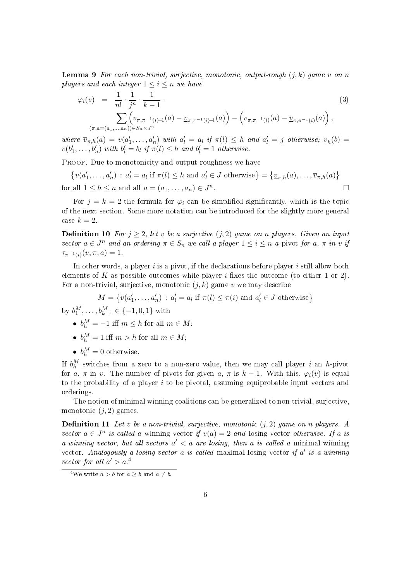**Lemma 9** For each non-trivial, surjective, monotonic, output-rough  $(i, k)$  game v on n players and each integer  $1 \leq i \leq n$  we have

$$
\varphi_i(v) = \frac{1}{n!} \cdot \frac{1}{j^n} \cdot \frac{1}{k-1} \cdot \left( \frac{1}{\overline{v}_{\pi,\pi^{-1}(i)-1}} \right)
$$
\n
$$
\sum_{(\pi,a=(a_1,...,a_n)) \in S_n \times J^n} \left( \overline{v}_{\pi,\pi^{-1}(i)-1}(a) - \underline{v}_{\pi,\pi^{-1}(i)-1}(a) \right) - \left( \overline{v}_{\pi,\pi^{-1}(i)}(a) - \underline{v}_{\pi,\pi^{-1}(i)}(a) \right),
$$
\n(3)

where  $\overline{v}_{\pi,h}(a) = v(a'_1,\ldots,a'_n)$  with  $a'_l = a_l$  if  $\pi(l) \leq h$  and  $a'_l = j$  otherwise;  $\underline{v}_h(b) =$  $v(b'_1, \ldots, b'_n)$  with  $b'_l = b_l$  if  $\pi(l) \leq h$  and  $b'_l = 1$  otherwise.

PROOF. Due to monotonicity and output-roughness we have

 $\{v(a'_1,\ldots,a'_n): a'_l=a_l \text{ if } \pi(l)\leq h \text{ and } a'_l\in J \text{ otherwise }\}=\{\underline{v}_{\pi,h}(a),\ldots,\overline{v}_{\pi,h}(a)\}$ for all  $1 \leq h \leq n$  and all  $a = (a_1, \ldots, a_n) \in J^n$ .

For  $j = k = 2$  the formula for  $\varphi_i$  can be simplified significantly, which is the topic of the next section. Some more notation can be introduced for the slightly more general case  $k = 2$ 

**Definition 10** For  $j \geq 2$ , let v be a surjective  $(j, 2)$  game on n players. Given an input vector  $a \in J^n$  and an ordering  $\pi \in S_n$  we call a player  $1 \leq i \leq n$  a pivot for a,  $\pi$  in v if  $\tau_{\pi^{-1}(i)}(v,\pi,a) = 1.$ 

In other words, a player  $i$  is a pivot, if the declarations before player  $i$  still allow both elements of K as possible outcomes while player i fixes the outcome (to either 1 or 2). For a non-trivial, surjective, monotonic  $(j, k)$  game v we may describe

 $M = \big\{ v(a'_1, \ldots, a'_n) \, : \, a'_l = a_l \text{ if } \pi(l) \leq \pi(i) \text{ and } a'_l \in J \text{ otherwise} \big\}$ 

by  $b_1^M, \ldots, b_{k-1}^M \in \{-1, 0, 1\}$  with

- $b_h^M = -1$  iff  $m \leq h$  for all  $m \in M$ ;
- $b_h^M = 1$  iff  $m > h$  for all  $m \in M$ ;
- $b_h^M = 0$  otherwise.

If  $b_h^M$  switches from a zero to a non-zero value, then we may call player i an h-pivot for a,  $\pi$  in v. The number of pivots for given a,  $\pi$  is  $k-1$ . With this,  $\varphi_i(v)$  is equal to the probability of a player  $i$  to be pivotal, assuming equiprobable input vectors and orderings.

The notion of minimal winning coalitions can be generalized to non-trivial, surjective, monotonic  $(j, 2)$  games.

**Definition 11** Let v be a non-trivial, surjective, monotonic  $(j, 2)$  game on n players. A vector  $a \in J^n$  is called a winning vector if  $v(a) = 2$  and losing vector otherwise. If a is a winning vector, but all vectors  $a' < a$  are losing, then a is called a minimal winning vector. Analogously a losing vector a is called maximal losing vector if  $a'$  is a winning vector for all  $a' > a$ .<sup>4</sup>

<sup>&</sup>lt;sup>4</sup>We write  $a > b$  for  $a > b$  and  $a \neq b$ .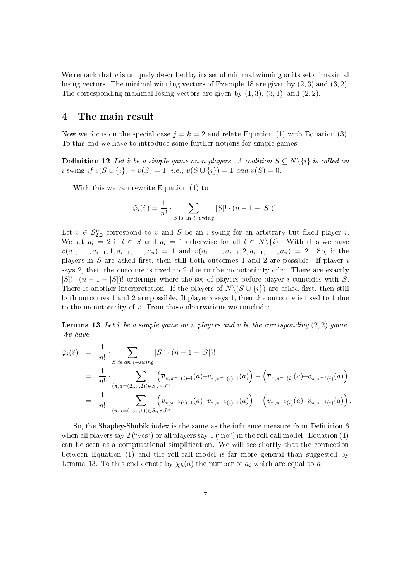We remark that  $v$  is uniquely described by its set of minimal winning or its set of maximal losing vectors. The minimal winning vectors of Example 18 are given by  $(2, 3)$  and  $(3, 2)$ . The corresponding maximal losing vectors are given by  $(1,3)$ ,  $(3,1)$ , and  $(2,2)$ .

#### 4 The main result

Now we focus on the special case  $j = k = 2$  and relate Equation (1) with Equation (3). To this end we have to introduce some further notions for simple games.

**Definition 12** Let  $\tilde{v}$  be a simple game on n players. A coalition  $S \subseteq N \setminus \{i\}$  is called an i-swing if  $v(S \cup \{i\}) - v(S) = 1$ , i.e.,  $v(S \cup \{i\}) = 1$  and  $v(S) = 0$ .

With this we can rewrite Equation (1) to

$$
\tilde{\varphi}_i(\tilde{v}) = \frac{1}{n!} \cdot \sum_{S \text{ is an } i-\text{swing}} |S|! \cdot (n-1-|S|)!.
$$

Let  $v \in \mathcal{S}_{2,2}^n$  correspond to  $\tilde{v}$  and S be an *i*-swing for an arbitrary but fixed player *i*. We set  $a_l = 2$  if  $l \in S$  and  $a_l = 1$  otherwise for all  $l \in N \setminus \{i\}$ . With this we have  $v(a_1, \ldots, a_{i-1}, 1, a_{i+1}, \ldots, a_n) = 1$  and  $v(a_1, \ldots, a_{i-1}, 2, a_{i+1}, \ldots, a_n) = 2$ . So, if the players in  $S$  are asked first, then still both outcomes 1 and 2 are possible. If player  $i$ says 2, then the outcome is fixed to 2 due to the monotonicity of  $v$ . There are exactly  $|S| \cdot (n-1-|S|)!$  orderings where the set of players before player i coincides with S. There is another interpretation: If the players of  $N\setminus (S\cup\{i\})$  are asked first, then still both outcomes 1 and 2 are possible. If player  $i$  says 1, then the outcome is fixed to 1 due to the monotonicity of  $v$ . From these observations we conclude:

**Lemma 13** Let  $\tilde{v}$  be a simple game on n players and v be the corresponding  $(2, 2)$  game. We have

$$
\tilde{\varphi}_i(\tilde{v}) = \frac{1}{n!} \cdot \sum_{S \text{ is an } i-swing} |S|! \cdot (n-1-|S|)! \n= \frac{1}{n!} \cdot \sum_{(\pi,a=(2,\ldots,2)) \in S_n \times J^n} \left( \overline{v}_{\pi,\pi^{-1}(i)-1}(a) - \underline{v}_{\pi,\pi^{-1}(i)-1}(a) \right) - \left( \overline{v}_{\pi,\pi^{-1}(i)}(a) - \underline{v}_{\pi,\pi^{-1}(i)}(a) \right) \n= \frac{1}{n!} \cdot \sum_{(\pi,a=(1,\ldots,1)) \in S_n \times J^n} \left( \overline{v}_{\pi,\pi^{-1}(i)-1}(a) - \underline{v}_{\pi,\pi^{-1}(i)-1}(a) \right) - \left( \overline{v}_{\pi,\pi^{-1}(i)}(a) - \underline{v}_{\pi,\pi^{-1}(i)}(a) \right).
$$

So, the Shapley-Shubik index is the same as the influence measure from Definition 6 when all players say 2 ("yes") or all players say 1 ("no") in the roll-call model. Equation (1) can be seen as a computational simplication. We will see shortly that the connection between Equation (1) and the roll-call model is far more general than suggested by Lemma 13. To this end denote by  $\chi_h(a)$  the number of  $a_i$  which are equal to h.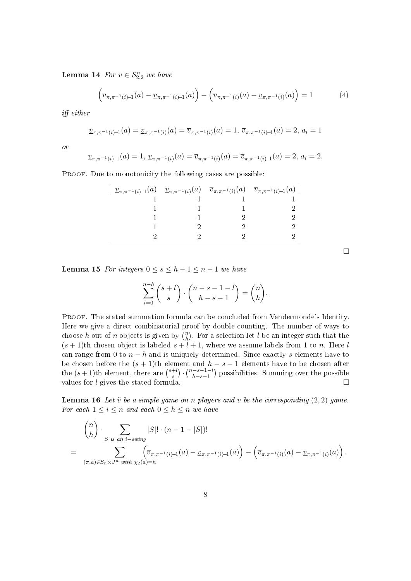**Lemma 14** For  $v \in S_{2,2}^n$  we have

$$
\left(\overline{v}_{\pi,\pi^{-1}(i)-1}(a) - \underline{v}_{\pi,\pi^{-1}(i)-1}(a)\right) - \left(\overline{v}_{\pi,\pi^{-1}(i)}(a) - \underline{v}_{\pi,\pi^{-1}(i)}(a)\right) = 1\tag{4}
$$

 $iff$  either

$$
\underline{v}_{\pi,\pi^{-1}(i)-1}(a) = \underline{v}_{\pi,\pi^{-1}(i)}(a) = \overline{v}_{\pi,\pi^{-1}(i)}(a) = 1, \, \overline{v}_{\pi,\pi^{-1}(i)-1}(a) = 2, \, a_i = 1
$$

or

$$
\underline{v}_{\pi,\pi^{-1}(i)-1}(a) = 1, \ \underline{v}_{\pi,\pi^{-1}(i)}(a) = \overline{v}_{\pi,\pi^{-1}(i)}(a) = \overline{v}_{\pi,\pi^{-1}(i)-1}(a) = 2, \ a_i = 2.
$$

PROOF. Due to monotonicity the following cases are possible:

| $\underline{v}_{\pi,\pi^{-1}(i)-1}(a)$ $\underline{v}_{\pi,\pi^{-1}(i)}(a)$ $\overline{v}_{\pi,\pi^{-1}(i)}(a)$ $\overline{v}_{\pi,\pi^{-1}(i)-1}(a)$ |  |  |
|-------------------------------------------------------------------------------------------------------------------------------------------------------|--|--|
|                                                                                                                                                       |  |  |
|                                                                                                                                                       |  |  |
|                                                                                                                                                       |  |  |
|                                                                                                                                                       |  |  |
|                                                                                                                                                       |  |  |
|                                                                                                                                                       |  |  |

 $\Box$ 

**Lemma 15** For integers  $0 \le s \le h - 1 \le n - 1$  we have

$$
\sum_{l=0}^{n-h} {s+l \choose s} \cdot {n-s-1-l \choose h-s-1} = {n \choose h}.
$$

PROOF. The stated summation formula can be concluded from Vandermonde's Identity. Here we give a direct combinatorial proof by double counting. The number of ways to choose h out of n objects is given by  $\binom{n}{h}$  $\binom{n}{h}$ . For a selection let l be an integer such that the  $(s + 1)$ th chosen object is labeled  $s + l + 1$ , where we assume labels from 1 to n. Here l can range from 0 to  $n - h$  and is uniquely determined. Since exactly s elements have to be chosen before the  $(s + 1)$ th element and  $h - s - 1$  elements have to be chosen after the  $(s+1)$ th element, there are  $\binom{s+l}{s}$  ${s+1 \choose s} \cdot {n-s-1-1 \choose h-s-1}$ <sup>--s−1-t</sup>) possibilities. Summing over the possible values for l gives the stated formula.

**Lemma 16** Let  $\tilde{v}$  be a simple game on n players and v be the corresponding  $(2, 2)$  game. For each  $1 \leq i \leq n$  and each  $0 \leq h \leq n$  we have

$$
\binom{n}{h} \cdot \sum_{S \text{ is an } i-swing} |S|! \cdot (n-1-|S|)! = \sum_{(\pi,a) \in S_n \times J^n \text{ with } \chi_2(a) = h} \left( \overline{v}_{\pi,\pi^{-1}(i)-1}(a) - \underline{v}_{\pi,\pi^{-1}(i)-1}(a) \right) - \left( \overline{v}_{\pi,\pi^{-1}(i)}(a) - \underline{v}_{\pi,\pi^{-1}(i)}(a) \right).
$$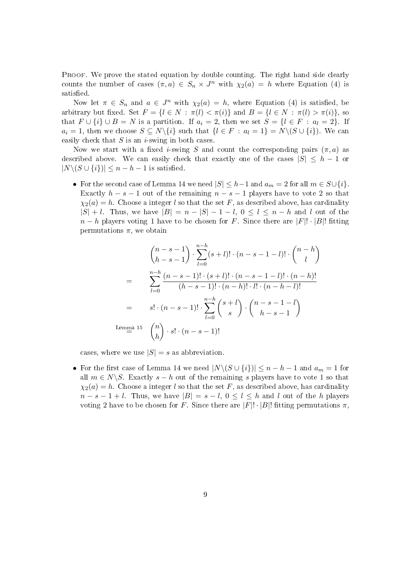PROOF. We prove the stated equation by double counting. The right hand side clearly counts the number of cases  $(\pi, a) \in S_n \times J^n$  with  $\chi_2(a) = h$  where Equation (4) is satisfied.

Now let  $\pi \in S_n$  and  $a \in J^n$  with  $\chi_2(a) = h$ , where Equation (4) is satisfied, be arbitrary but fixed. Set  $F = \{l \in N : \pi(l) < \pi(i)\}$  and  $B = \{l \in N : \pi(l) > \pi(i)\}\$ , so that  $F \cup \{i\} \cup B = N$  is a partition. If  $a_i = 2$ , then we set  $S = \{l \in F : a_l = 2\}$ . If  $a_i = 1$ , then we choose  $S \subseteq N \setminus \{i\}$  such that  $\{l \in F : a_l = 1\} = N \setminus (S \cup \{i\})$ . We can easily check that  $S$  is an *i*-swing in both cases.

Now we start with a fixed i-swing S and count the corresponding pairs  $(\pi, a)$  as described above. We can easily check that exactly one of the cases  $|S| \leq h - 1$  or  $|N\setminus (S\cup\{i\})|\leq n-h-1$  is satisfied.

• For the second case of Lemma 14 we need  $|S| \leq h-1$  and  $a_m = 2$  for all  $m \in S \cup \{i\}$ . Exactly  $h - s - 1$  out of the remaining  $n - s - 1$  players have to vote 2 so that  $\chi_2(a) = h$ . Choose a integer l so that the set F, as described above, has cardinality  $|S| + l$ . Thus, we have  $|B| = n - |S| - 1 - l$ ,  $0 \le l \le n - h$  and l out of the  $n-h$  players voting 1 have to be chosen for F. Since there are  $|F|! \cdot |B|!$  fitting permutations  $\pi$ , we obtain

$$
\binom{n-s-1}{h-s-1} \cdot \sum_{l=0}^{n-h} (s+l)! \cdot (n-s-1-l)! \cdot \binom{n-h}{l}
$$
  
= 
$$
\sum_{l=0}^{n-h} \frac{(n-s-1)! \cdot (s+l)! \cdot (n-s-1-l)! \cdot (n-h)!}{(h-s-1)! \cdot (n-h)! \cdot l! \cdot (n-h-l)!}
$$
  
= 
$$
s! \cdot (n-s-1)! \cdot \sum_{l=0}^{n-h} {s+l \choose s} \cdot \binom{n-s-1-l}{h-s-1}
$$
  
Lemma 15 
$$
\binom{n}{h} \cdot s! \cdot (n-s-1)!
$$

cases, where we use  $|S| = s$  as abbreviation.

• For the first case of Lemma 14 we need  $|N\setminus (S\cup\{i\})|\leq n-h-1$  and  $a_m=1$  for all  $m \in N \backslash S$ . Exactly  $s - h$  out of the remaining s players have to vote 1 so that  $\chi_2(a) = h$ . Choose a integer l so that the set F, as described above, has cardinality  $n - s - 1 + l$ . Thus, we have  $|B| = s - l$ ,  $0 \le l \le h$  and l out of the h players voting 2 have to be chosen for F. Since there are  $|F|! \cdot |B|!$  fitting permutations  $\pi$ ,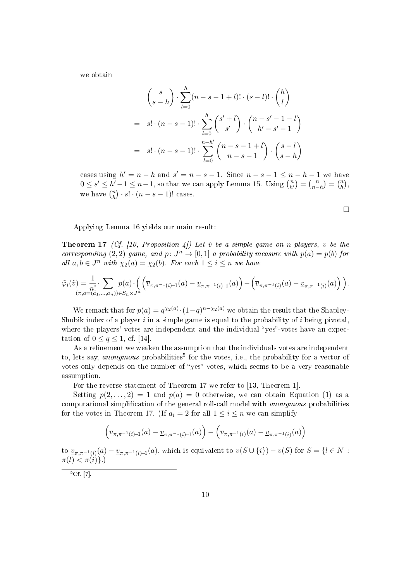we obtain

$$
\binom{s}{s-h} \cdot \sum_{l=0}^{h} (n-s-1+l)! \cdot (s-l)! \cdot \binom{h}{l}
$$
  
=  $s! \cdot (n-s-1)! \cdot \sum_{l=0}^{h} \binom{s'+l}{s'} \cdot \binom{n-s'-1-l}{h'-s'-1}$   
=  $s! \cdot (n-s-1)! \cdot \sum_{l=0}^{n-h'} \binom{n-s-1+l}{n-s-1} \cdot \binom{s-l}{s-h}$ 

cases using  $h' = n - h$  and  $s' = n - s - 1$ . Since  $n - s - 1 \leq n - h - 1$  we have  $0 \leq s' \leq h'-1 \leq n-1$ , so that we can apply Lemma 15. Using  $\binom{n}{h'} = \binom{n}{n-1}$  $\binom{n}{n-h} = \binom{n}{h}$  $\binom{n}{h}$ we have  $\binom{n}{h}$  $\binom{n}{h} \cdot s! \cdot (n - s - 1)!$  cases.

 $\Box$ 

Applying Lemma 16 yields our main result:

**Theorem 17** (Cf. [10, Proposition 4]) Let  $\tilde{v}$  be a simple game on n players, v be the corresponding (2, 2) game, and  $p: J^n \to [0,1]$  a probability measure with  $p(a) = p(b)$  for all  $a, b \in J^n$  with  $\chi_2(a) = \chi_2(b)$ . For each  $1 \leq i \leq n$  we have

$$
\tilde{\varphi}_i(\tilde{v}) = \frac{1}{n!} \cdot \sum_{(\pi, a = (a_1, \ldots, a_n)) \in S_n \times J^n} p(a) \cdot \left( \left( \overline{v}_{\pi, \pi^{-1}(i)-1}(a) - \underline{v}_{\pi, \pi^{-1}(i)-1}(a) \right) - \left( \overline{v}_{\pi, \pi^{-1}(i)}(a) - \underline{v}_{\pi, \pi^{-1}(i)}(a) \right) \right).
$$

We remark that for  $p(a) = q^{\chi_2(a)} \cdot (1-q)^{n-\chi_2(a)}$  we obtain the result that the Shapley-Shubik index of a player  $i$  in a simple game is equal to the probability of  $i$  being pivotal, where the players' votes are independent and the individual "yes"-votes have an expectation of  $0 \leq q \leq 1$ , cf. [14].

As a refinement we weaken the assumption that the individuals votes are independent to, lets say, *anonymous* probabilities<sup>5</sup> for the votes, i.e., the probability for a vector of votes only depends on the number of "yes"-votes, which seems to be a very reasonable assumption.

For the reverse statement of Theorem 17 we refer to [13, Theorem 1].

Setting  $p(2,\ldots,2) = 1$  and  $p(a) = 0$  otherwise, we can obtain Equation (1) as a computational simplication of the general roll-call model with anonymous probabilities for the votes in Theorem 17. (If  $a_i = 2$  for all  $1 \leq i \leq n$  we can simplify

$$
(\overline{v}_{\pi,\pi^{-1}(i)-1}(a)-\underline{v}_{\pi,\pi^{-1}(i)-1}(a)) - (\overline{v}_{\pi,\pi^{-1}(i)}(a)-\underline{v}_{\pi,\pi^{-1}(i)}(a))
$$

to  $\underline{v}_{\pi,\pi^{-1}(i)}(a)-\underline{v}_{\pi,\pi^{-1}(i)-1}(a)$ , which is equivalent to  $v(S\cup\{i\})-v(S)$  for  $S=\{l\in N\,:\,$  $\pi(l) < \pi(i)$ .

 $^{5}$ Cf. [7].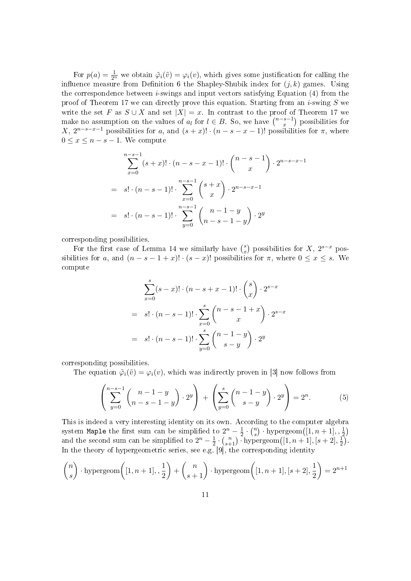For  $p(a) = \frac{1}{2^n}$  we obtain  $\tilde{\varphi}_i(\tilde{v}) = \varphi_i(v)$ , which gives some justification for calling the influence measure from Definition 6 the Shapley-Shubik index for  $(j, k)$  games. Using the correspondence between *i*-swings and input vectors satisfying Equation  $(4)$  from the proof of Theorem 17 we can directly prove this equation. Starting from an  $i$ -swing  $S$  we write the set F as  $S \cup X$  and set  $|X| = x$ . In contrast to the proof of Theorem 17 we make no assumption on the values of  $a_l$  for  $l \in B$ . So, we have  $\binom{n-s-1}{r}$  $\binom{s-1}{x}$  possibilities for X,  $2^{n-s-x-1}$  possibilities for a, and  $(s+x)! \cdot (n-s-x-1)!$  possibilities for  $\pi$ , where  $0 \leq x \leq n - s - 1$ . We compute

$$
\sum_{x=0}^{n-s-1} (s+x)! \cdot (n-s-x-1)! \cdot \binom{n-s-1}{x} \cdot 2^{n-s-x-1}
$$
  
=  $s! \cdot (n-s-1)! \cdot \sum_{x=0}^{n-s-1} \binom{s+x}{x} \cdot 2^{n-s-x-1}$   
=  $s! \cdot (n-s-1)! \cdot \sum_{y=0}^{n-s-1} \binom{n-1-y}{n-s-1-y} \cdot 2^y$ 

corresponding possibilities.

For the first case of Lemma 14 we similarly have  $\binom{s}{r}$  $\binom{s}{x}$  possibilities for X,  $2^{s-x}$  possibilities for a, and  $(n - s - 1 + x)! \cdot (s - x)!$  possibilities for  $\pi$ , where  $0 \le x \le s$ . We compute

$$
\sum_{x=0}^{s} (s-x)! \cdot (n-s+x-1)! \cdot {s \choose x} \cdot 2^{s-x}
$$
  
=  $s! \cdot (n-s-1)! \cdot \sum_{x=0}^{s} {n-s-1+x \choose x} \cdot 2^{s-x}$   
=  $s! \cdot (n-s-1)! \cdot \sum_{y=0}^{s} {n-1-y \choose s-y} \cdot 2^y$ 

corresponding possibilities.

The equation  $\tilde{\varphi}_i(\tilde{v}) = \varphi_i(v)$ , which was indirectly proven in [3] now follows from

$$
\left(\sum_{y=0}^{n-s-1} \binom{n-1-y}{n-s-1-y} \cdot 2^y \right) + \left(\sum_{y=0}^s \binom{n-1-y}{s-y} \cdot 2^y \right) = 2^n. \tag{5}
$$

This is indeed a very interesting identity on its own. According to the computer algebra system Maple the first sum can be simplified to  $2^n - \frac{1}{2}$  $rac{1}{2} \cdot \binom{n}{s}$  ${s \choose s}$  · hypergeom  $([1, n+1], \frac{1}{2})$  $\frac{1}{2}$ and the second sum can be simplified to  $2^n - \frac{1}{2}$  $\frac{1}{2} \cdot {n \choose s+1}$  · hypergeom  $( [1, n+1], [s+2], \frac{1}{2} ]$  $\frac{1}{2}$ . In the theory of hypergeometric series, see e.g.  $[9]$ , the corresponding identity

$$
\binom{n}{s} \cdot \text{hypergeom}\left([1, n+1], \frac{1}{2}\right) + \binom{n}{s+1} \cdot \text{hypergeom}\left([1, n+1], [s+2], \frac{1}{2}\right) = 2^{n+1}
$$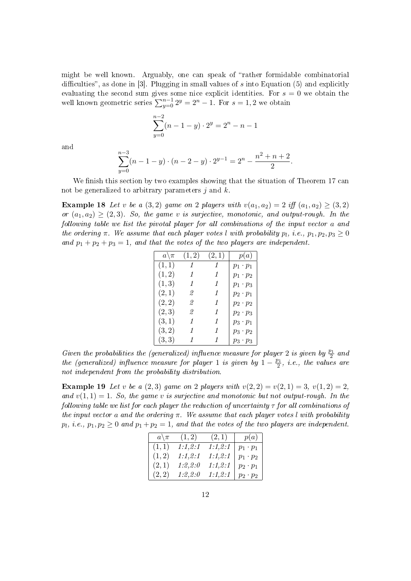might be well known. Arguably, one can speak of "rather formidable combinatorial" difficulties", as done in [3]. Plugging in small values of s into Equation (5) and explicitly evaluating the second sum gives some nice explicit identities. For  $s = 0$  we obtain the well known geometric series  $\sum_{y=0}^{n-1} 2^y = 2^n - 1$ . For  $s = 1, 2$  we obtain

$$
\sum_{y=0}^{n-2} (n-1-y) \cdot 2^y = 2^n - n - 1
$$

and

$$
\sum_{y=0}^{n-3} (n-1-y) \cdot (n-2-y) \cdot 2^{y-1} = 2^n - \frac{n^2+n+2}{2}.
$$

We finish this section by two examples showing that the situation of Theorem 17 can not be generalized to arbitrary parameters  $j$  and  $k$ .

**Example 18** Let v be a (3,2) game on 2 players with  $v(a_1, a_2) = 2$  iff  $(a_1, a_2) \ge (3, 2)$ or  $(a_1, a_2) \ge (2, 3)$ . So, the game v is surjective, monotonic, and output-rough. In the following table we list the pivotal player for all combinations of the input vector a and the ordering  $\pi$ . We assume that each player votes l with probability  $p_l$ , i.e.,  $p_1, p_2, p_3 \geq 0$ and  $p_1 + p_2 + p_3 = 1$ , and that the votes of the two players are independent.

| $a\backslash \pi$ | (1, 2)                           | (2,1)         | p(a)            |
|-------------------|----------------------------------|---------------|-----------------|
| (1,1)             | $\begin{array}{c} 1 \end{array}$ | $\frac{1}{2}$ | $p_1 \cdot p_1$ |
| (1, 2)            | $\mathcal{I}$                    | $\mathcal{I}$ | $p_1 \cdot p_2$ |
| (1, 3)            | $\mathcal{I}$                    | 1             | $p_1 \cdot p_3$ |
| (2,1)             | 2                                | 1             | $p_2 \cdot p_1$ |
| (2, 2)            | 2                                | 1             | $p_2 \cdot p_2$ |
| (2,3)             | 2                                | 1             | $p_2 \cdot p_3$ |
| (3,1)             | $\mathcal{I}$                    | 1             | $p_3 \cdot p_1$ |
| (3,2)             | $\mathcal{I}$                    | $\mathcal{I}$ | $p_3 \cdot p_2$ |
| (3, 3)            | 1                                | 1             | $p_3 \cdot p_3$ |

Given the probabilities the (generalized) influence measure for player 2 is given by  $\frac{p_1}{2}$  and the (generalized) influence measure for player 1 is given by  $1 - \frac{p_1}{2}$  $\frac{p_1}{2},\ i.e.,\ the\ values\ are$ not independent from the probability distribution.

**Example 19** Let v be a  $(2, 3)$  game on 2 players with  $v(2, 2) = v(2, 1) = 3$ ,  $v(1, 2) = 2$ , and  $v(1, 1) = 1$ . So, the game v is surjective and monotonic but not output-rough. In the following table we list for each player the reduction of uncertainty  $\tau$  for all combinations of the input vector a and the ordering  $\pi$ . We assume that each player votes l with probability  $p_l, \ i.e., \ p_1, p_2 \geq 0 \ and \ p_1 + p_2 = 1, \ and \ that \ the \ votes \ of \ the \ two \ players \ are \ independent.$ 

| $a\backslash \pi$ | (1,2)   | (2,1)   | p(a)            |
|-------------------|---------|---------|-----------------|
| (1,1)             | 1:1,2:1 | 1:1,2:1 | $p_1 \cdot p_1$ |
| (1,2)             | 1:1,2:1 | 1:1,2:1 | $p_1 \cdot p_2$ |
| (2,1)             | 1:2,2:0 | 1:1,2:1 | $p_2 \cdot p_1$ |
| (2, 2)            | 1:2,2:0 | 1:1,2:1 | $p_2 \cdot p_2$ |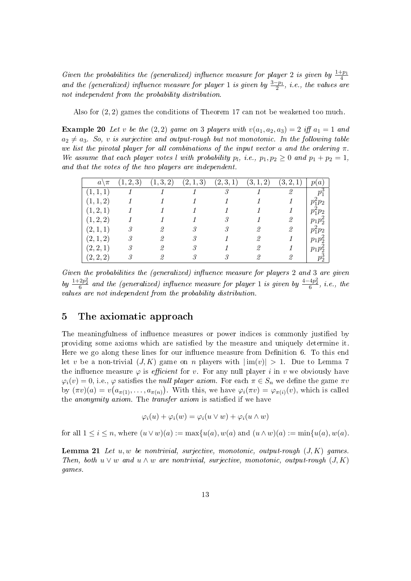Given the probabilities the (generalized) influence measure for player 2 is given by  $\frac{1+p_1}{4}$ and the (generalized) influence measure for player 1 is given by  $\frac{3-p_1}{2}$ , i.e., the values are not independent from the probability distribution.

Also for (2, 2) games the conditions of Theorem 17 can not be weakened too much.

Example 20 Let v be the  $(2, 2)$  game on 3 players with  $v(a_1, a_2, a_3) = 2$  iff  $a_1 = 1$  and  $a_2 \neq a_3$ . So, v is surjective and output-rough but not monotonic. In the following table we list the pivotal player for all combinations of the input vector a and the ordering  $\pi$ . We assume that each player votes l with probability  $p_l$ , i.e.,  $p_1, p_2 \geq 0$  and  $p_1 + p_2 = 1$ , and that the votes of the two players are independent.

| $a \setminus \pi$ | (1, 2, 3) | (1, 3, 2) | (2,1,3) | (2,3,1) | (3, 1, 2) | (3, 2, 1) | $\alpha$<br>pι  |
|-------------------|-----------|-----------|---------|---------|-----------|-----------|-----------------|
| (1, 1, 1)         |           |           |         |         |           | റ         | $p_{\tilde{}}$  |
| (1, 1, 2)         |           |           |         |         |           |           | $p_1^2p_2$      |
| (1, 2, 1)         |           |           |         |         |           |           | $p_1^2p_2$      |
| (1, 2, 2)         |           |           |         |         |           |           | $p_1p_2$        |
| (2,1,1)           |           |           |         |         |           | 2         | $p_1^2p_2$      |
| (2,1,2)           |           |           |         |         |           |           | $p_1p_2$        |
| (2, 2, 1)         |           |           |         |         |           |           | $p_1p_2$        |
| (2, 2, 2)         |           |           |         |         |           |           | $p_{\tilde{2}}$ |

Given the probabilities the (generalized) influence measure for players  $2$  and  $3$  are given by  $\frac{1+2p_2^2}{6}$  and the (generalized) influence measure for player 1 is given by  $\frac{4-4p_2^2}{6}$ , i.e., the values are not independent from the probability distribution.

#### 5 The axiomatic approach

The meaningfulness of influence measures or power indices is commonly justified by providing some axioms which are satisfied by the measure and uniquely determine it. Here we go along these lines for our influence measure from Definition 6. To this end let v be a non-trivial  $(J, K)$  game on n players with  $|\text{im}(v)| > 1$ . Due to Lemma 7 the influence measure  $\varphi$  is efficient for v. For any null player i in v we obviously have  $\varphi_i(v) = 0$ , i.e.,  $\varphi$  satisfies the *null player axiom*. For each  $\pi \in S_n$  we define the game  $\pi v$ by  $(\pi v)(a) = v(a_{\pi(1)}, \ldots, a_{\pi(n)})$ . With this, we have  $\varphi_i(\pi v) = \varphi_{\pi(i)}(v)$ , which is called the *anonymity axiom*. The *transfer axiom* is satisfied if we have

$$
\varphi_i(u) + \varphi_i(w) = \varphi_i(u \vee w) + \varphi_i(u \wedge w)
$$

for all  $1 \leq i \leq n$ , where  $(u \vee w)(a) := \max\{u(a), w(a)$  and  $(u \wedge w)(a) := \min\{u(a), w(a)\}$ .

**Lemma 21** Let u, w be nontrivial, surjective, monotonic, output-rough  $(J, K)$  games. Then, both  $u \vee w$  and  $u \wedge w$  are nontrivial, surjective, monotonic, output-rough  $(J, K)$ games.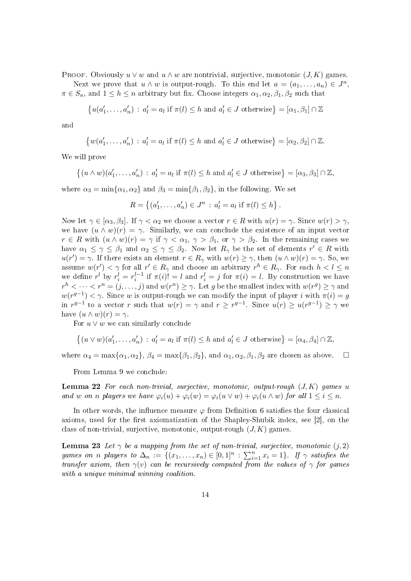PROOF. Obviously  $u \vee w$  and  $u \wedge w$  are nontrivial, surjective, monotonic  $(J, K)$  games.

Next we prove that  $u \wedge w$  is output-rough. To this end let  $a = (a_1, \ldots, a_n) \in J^n$ ,  $\pi \in S_n$ , and  $1 \leq h \leq n$  arbitrary but fix. Choose integers  $\alpha_1, \alpha_2, \beta_1, \beta_2$  such that

$$
\{u(a'_1, \ldots, a'_n) : a'_l = a_l \text{ if } \pi(l) \leq h \text{ and } a'_l \in J \text{ otherwise}\} = [\alpha_1, \beta_1] \cap \mathbb{Z}
$$

and

$$
\{w(a'_1, \ldots, a'_n) : a'_l = a_l \text{ if } \pi(l) \leq h \text{ and } a'_l \in J \text{ otherwise}\} = [\alpha_2, \beta_2] \cap \mathbb{Z}.
$$

We will prove

$$
\{(u \wedge w)(a'_1, \ldots, a'_n) : a'_l = a_l \text{ if } \pi(l) \leq h \text{ and } a'_l \in J \text{ otherwise}\} = [\alpha_3, \beta_3] \cap \mathbb{Z},
$$

where  $\alpha_3 = \min{\alpha_1, \alpha_2}$  and  $\beta_3 = \min{\beta_1, \beta_2}$ , in the following. We set

$$
R = \{(a'_1, \ldots, a'_n) \in J^n : a'_l = a_l \text{ if } \pi(l) \leq h\}.
$$

Now let  $\gamma \in [\alpha_3, \beta_3]$ . If  $\gamma < \alpha_2$  we choose a vector  $r \in R$  with  $u(r) = \gamma$ . Since  $w(r) > \gamma$ , we have  $(u \wedge w)(r) = \gamma$ . Similarly, we can conclude the existence of an input vector  $r \in R$  with  $(u \wedge w)(r) = \gamma$  if  $\gamma < \alpha_1, \gamma > \beta_1$ , or  $\gamma > \beta_2$ . In the remaining cases we have  $\alpha_1 \leq \gamma \leq \beta_1$  and  $\alpha_2 \leq \gamma \leq \beta_2$ . Now let  $R_{\gamma}$  be the set of elements  $r' \in R$  with  $u(r') = \gamma$ . If there exists an element  $r \in R_{\gamma}$  with  $w(r) \geq \gamma$ , then  $(u \wedge w)(r) = \gamma$ . So, we assume  $w(r') < \gamma$  for all  $r' \in R_{\gamma}$  and choose an arbitrary  $r^h \in R_{\gamma}$ . For each  $h < l \leq n$ we define  $r^l$  by  $r_i^l = r_i^{l-1}$  if  $\pi(i) = l$  and  $r_i^l = j$  for  $\pi(i) = l$ . By construction we have  $r^h < \cdots < r^n = (j, \ldots, j)$  and  $w(r^n) \geq \gamma$ . Let g be the smallest index with  $w(r^g) \geq \gamma$  and  $w(r^{g-1}) < \gamma$ . Since w is output-rough we can modify the input of player i with  $\pi(i) = g$ in  $r^{g-1}$  to a vector r such that  $w(r) = \gamma$  and  $r \ge r^{g-1}$ . Since  $u(r) \ge u(r^{g-1}) \ge \gamma$  we have  $(u \wedge w)(r) = \gamma$ .

For  $u \vee w$  we can similarly conclude

$$
\{(u \vee w)(a'_1, \ldots, a'_n) : a'_l = a_l \text{ if } \pi(l) \leq h \text{ and } a'_l \in J \text{ otherwise}\} = [\alpha_4, \beta_4] \cap \mathbb{Z},
$$

where  $\alpha_4 = \max{\{\alpha_1, \alpha_2\}}$ ,  $\beta_4 = \max{\{\beta_1, \beta_2\}}$ , and  $\alpha_1, \alpha_2, \beta_1, \beta_2$  are chosen as above.  $\square$ 

From Lemma 9 we conclude:

**Lemma 22** For each non-trivial, surjective, monotonic, output-rough  $(J, K)$  games u and w on n players we have  $\varphi_i(u) + \varphi_i(w) = \varphi_i(u \vee w) + \varphi_i(u \wedge w)$  for all  $1 \leq i \leq n$ .

In other words, the influence measure  $\varphi$  from Definition 6 satisfies the four classical axioms, used for the first axiomatization of the Shapley-Shubik index, see  $[2]$ , on the class of non-trivial, surjective, monotonic, output-rough  $(J, K)$  games.

**Lemma 23** Let  $\gamma$  be a mapping from the set of non-trivial, surjective, monotonic  $(j, 2)$ games on n players to  $\Delta_n := \{(x_1, \ldots, x_n) \in [0,1]^n : \sum_{i=1}^n x_i = 1\}$ . If  $\gamma$  satisfies the transfer axiom, then  $\gamma(v)$  can be recursively computed from the values of  $\gamma$  for games with a unique minimal winning coalition.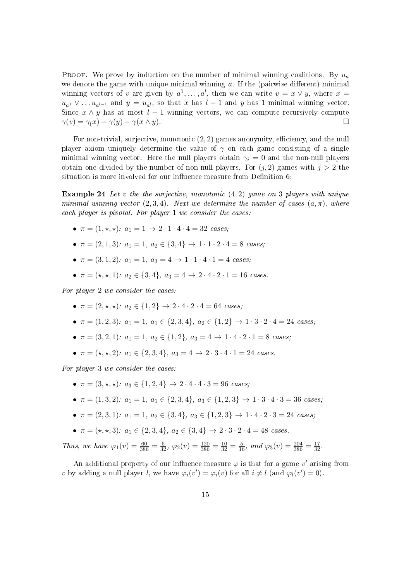PROOF. We prove by induction on the number of minimal winning coalitions. By  $u_a$ we denote the game with unique minimal winning  $a$ . If the (pairwise different) minimal winning vectors of v are given by  $a^1, \ldots, a^l$ , then we can write  $v = x \vee y$ , where  $x =$  $u_{a} \vee \ldots u_{a^{l-1}}$  and  $y = u_{a^l}$ , so that x has  $l-1$  and y has 1 minimal winning vector. Since  $x \wedge y$  has at most  $l-1$  winning vectors, we can compute recursively compute  $\gamma(v) = \gamma(x) + \gamma(y) - \gamma(x \wedge y).$ 

For non-trivial, surjective, monotonic  $(2, 2)$  games anonymity, efficiency, and the null player axiom uniquely determine the value of  $\gamma$  on each game consisting of a single minimal winning vector. Here the null players obtain  $\gamma_i = 0$  and the non-null players obtain one divided by the number of non-null players. For  $(j, 2)$  games with  $j > 2$  the situation is more involved for our influence measure from Definition 6:

**Example 24** Let v the the surjective, monotonic  $(4, 2)$  game on 3 players with unique minimal winning vector  $(2, 3, 4)$ . Next we determine the number of cases  $(a, \pi)$ , where each player is pivotal. For player 1 we consider the cases:

- $\pi = (1, \star, \star): a_1 = 1 \to 2 \cdot 1 \cdot 4 \cdot 4 = 32 \; \text{cases};$
- $\pi = (2, 1, 3)$ :  $a_1 = 1$ ,  $a_2 \in \{3, 4\} \to 1 \cdot 1 \cdot 2 \cdot 4 = 8$  cases:
- $\pi = (3, 1, 2)$ :  $a_1 = 1$ ,  $a_3 = 4 \rightarrow 1 \cdot 1 \cdot 4 \cdot 1 = 4$  cases:
- $\pi = (*, *, 1)$ :  $a_2 \in \{3, 4\}, a_3 = 4 \rightarrow 2 \cdot 4 \cdot 2 \cdot 1 = 16$  cases.

For player 2 we consider the cases:

- $\pi = (2, \star, \star): a_2 \in \{1, 2\} \to 2 \cdot 4 \cdot 2 \cdot 4 = 64 \; \text{cases};$
- $\pi = (1, 2, 3)$ :  $a_1 = 1$ ,  $a_1 \in \{2, 3, 4\}$ ,  $a_2 \in \{1, 2\} \to 1 \cdot 3 \cdot 2 \cdot 4 = 24$  cases:
- $\pi = (3, 2, 1); a_1 = 1, a_2 \in \{1, 2\}, a_3 = 4 \rightarrow 1 \cdot 4 \cdot 2 \cdot 1 = 8 \text{ cases};$
- $\pi = (*, *, 2)$ :  $a_1 \in \{2, 3, 4\}$ ,  $a_3 = 4 \rightarrow 2 \cdot 3 \cdot 4 \cdot 1 = 24$  cases.

For player 3 we consider the cases:

- $\pi = (3, \star, \star): a_3 \in \{1, 2, 4\} \to 2 \cdot 4 \cdot 4 \cdot 3 = 96 \text{ cases};$
- $\pi = (1, 3, 2)$ :  $a_1 = 1$ ,  $a_1 \in \{2, 3, 4\}$ ,  $a_3 \in \{1, 2, 3\} \rightarrow 1 \cdot 3 \cdot 4 \cdot 3 = 36$  cases;
- $\pi = (2, 3, 1)$ :  $a_1 = 1$ ,  $a_2 \in \{3, 4\}$ ,  $a_3 \in \{1, 2, 3\} \rightarrow 1 \cdot 4 \cdot 2 \cdot 3 = 24$  cases;
- $\pi = (*, *, 3): a_1 \in \{2, 3, 4\}, a_2 \in \{3, 4\} \rightarrow 2 \cdot 3 \cdot 2 \cdot 4 = 48 \; \text{cases}.$

Thus, we have  $\varphi_1(v) = \frac{60}{386} = \frac{5}{32}$ ,  $\varphi_2(v) = \frac{120}{386} = \frac{10}{32} = \frac{5}{16}$ , and  $\varphi_3(v) = \frac{204}{386} = \frac{17}{32}$ .

An additional property of our influence measure  $\varphi$  is that for a game  $v'$  arising from v by adding a null player l, we have  $\varphi_i(v') = \varphi_i(v)$  for all  $i \neq l$  (and  $\varphi_l(v') = 0$ ).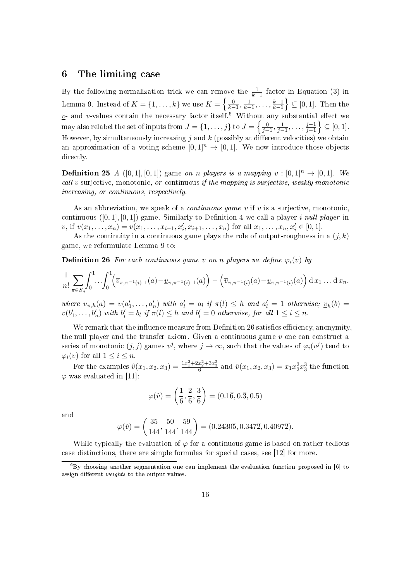### 6 The limiting case

By the following normalization trick we can remove the  $\frac{1}{k-1}$  factor in Equation (3) in Lemma 9. Instead of  $K = \{1, ..., k\}$  we use  $K = \left\{\frac{0}{k-1}, \frac{1}{k-1}, \ldots, \frac{k-1}{k-1}\right\}$  $\left\{\frac{k-1}{k-1}\right\} \subseteq [0,1].$  Then the  $\underline{v}$ - and  $\overline{v}$ -values contain the necessary factor itself.<sup>6</sup> Without any substantial effect we may also relabel the set of inputs from  $J=\{1,\ldots,j\}$  to  $J=\left\{\frac{0}{j-1},\frac{1}{j-1},\ldots,\frac{j-1}{j-1}\right\}$  $\left\{\frac{j-1}{j-1}\right\} \subseteq [0,1].$ However, by simultaneously increasing  $j$  and  $k$  (possibly at different velocities) we obtain an approximation of a voting scheme  $[0, 1]^n \rightarrow [0, 1]$ . We now introduce those objects directly.

**Definition 25** A ([0, 1], [0, 1]) game on n players is a mapping  $v : [0, 1]^n \rightarrow [0, 1]$ . We call v surjective, monotonic, or continuous if the mapping is surjective, weakly monotonic increasing, or continuous, respectively.

As an abbreviation, we speak of a *continuous game*  $v$  if  $v$  is a surjective, monotonic, continuous  $([0, 1], [0, 1])$  game. Similarly to Definition 4 we call a player *i null player* in v, if  $v(x_1,...,x_n) = v(x_1,...,x_{i-1},x'_i,x_{i+1},...,x_n)$  for all  $x_1,...,x_n,x'_i \in [0,1]$ .

As the continuity in a continuous game plays the role of output-roughness in a  $(j, k)$ game, we reformulate Lemma 9 to:

**Definition 26** For each continuous game v on n players we define  $\varphi_i(v)$  by

$$
\frac{1}{n!} \sum_{\pi \in S_n} \int_0^1 \cdots \int_0^1 \left( \overline{v}_{\pi, \pi^{-1}(i)-1}(a) - \underline{v}_{\pi, \pi^{-1}(i)-1}(a) \right) - \left( \overline{v}_{\pi, \pi^{-1}(i)}(a) - \underline{v}_{\pi, \pi^{-1}(i)}(a) \right) dx_1 \ldots dx_n,
$$

where  $\overline{v}_{\pi,h}(a) = v(a'_1,\ldots,a'_n)$  with  $a'_l = a_l$  if  $\pi(l) \leq h$  and  $a'_l = 1$  otherwise;  $\underline{v}_h(b) =$  $v(b'_1,\ldots,b'_n)$  with  $b'_l = b_l$  if  $\pi(l) \leq h$  and  $b'_l = 0$  otherwise, for all  $1 \leq i \leq n$ .

We remark that the influence measure from Definition 26 satisfies efficiency, anonymity, the null player and the transfer axiom. Given a continuous game  $v$  one can construct a series of monotonic  $(j, j)$  games  $v^j$ , where  $j \to \infty$ , such that the values of  $\varphi_i(v^j)$  tend to  $\varphi_i(v)$  for all  $1 \leq i \leq n$ .

For the examples  $\hat{v}(x_1, x_2, x_3) = \frac{1x_1^2 + 2x_2^2 + 3x_3^2}{6}$  and  $\tilde{v}(x_1, x_2, x_3) = x_1x_2^2x_3^3$  the function  $\varphi$  was evaluated in [11]:

$$
\varphi(\hat{v}) = \left(\frac{1}{6}, \frac{2}{6}, \frac{3}{6}\right) = (0.1\overline{6}, 0.\overline{3}, 0.5)
$$

and

$$
\varphi(\tilde{v}) = \left(\frac{35}{144}, \frac{50}{144}, \frac{59}{144}\right) = (0.2430\overline{5}, 0.347\overline{2}, 0.4097\overline{2}).
$$

While typically the evaluation of  $\varphi$  for a continuous game is based on rather tedious case distinctions, there are simple formulas for special cases, see [12] for more.

 $6By$  choosing another segmentation one can implement the evaluation function proposed in [6] to assign different *weights* to the output values.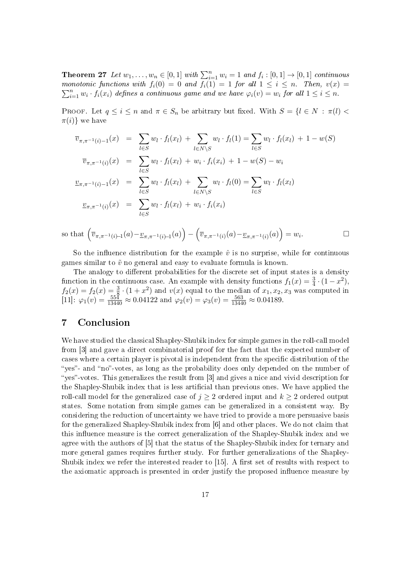**Theorem 27** Let  $w_1, ..., w_n \in [0, 1]$  with  $\sum_{i=1}^n w_i = 1$  and  $f_i : [0, 1] \rightarrow [0, 1]$  continuous monotonic functions with  $f_i(0) = 0$  and  $f_i(1) = 1$  for all  $1 \leq i \leq n$ . Then,  $v(x) =$  $\sum_{i=1}^n w_i \cdot f_i(x_i)$  defines a continuous game and we have  $\varphi_i(v) = w_i$  for all  $1 \leq i \leq n$ .

PROOF. Let  $q \leq i \leq n$  and  $\pi \in S_n$  be arbitrary but fixed. With  $S = \{l \in N : \pi(l)$  $\pi(i)$  we have

$$
\overline{v}_{\pi,\pi^{-1}(i)-1}(x) = \sum_{l \in S} w_l \cdot f_l(x_l) + \sum_{l \in N \setminus S} w_l \cdot f_l(1) = \sum_{l \in S} w_l \cdot f_l(x_l) + 1 - w(S)
$$
  

$$
\overline{v}_{\pi,\pi^{-1}(i)}(x) = \sum_{l \in S} w_l \cdot f_l(x_l) + w_i \cdot f_i(x_i) + 1 - w(S) - w_i
$$
  

$$
\underline{v}_{\pi,\pi^{-1}(i)-1}(x) = \sum_{l \in S} w_l \cdot f_l(x_l) + \sum_{l \in N \setminus S} w_l \cdot f_l(0) = \sum_{l \in S} w_l \cdot f_l(x_l)
$$
  

$$
\underline{v}_{\pi,\pi^{-1}(i)}(x) = \sum_{l \in S} w_l \cdot f_l(x_l) + w_i \cdot f_i(x_i)
$$

so that  $(\bar{v}_{\pi,\pi^{-1}(i)-1}(a)-\underline{v}_{\pi,\pi^{-1}(i)-1}(a)) - (\bar{v}_{\pi,\pi^{-1}(i)}(a)-\underline{v}_{\pi,\pi^{-1}(i)}(a)) = w_i$ .

So the influence distribution for the example  $\hat{v}$  is no surprise, while for continuous games similar to  $\tilde{v}$  no general and easy to evaluate formula is known.

The analogy to different probabilities for the discrete set of input states is a density function in the continuous case. An example with density functions  $f_1(x) = \frac{3}{4} \cdot (1 - x^2)$ ,  $f_2(x) = f_2(x) = \frac{3}{5} \cdot (1+x^2)$  and  $v(x)$  equal to the median of  $x_1, x_2, x_3$  was computed in [11]:  $\varphi_1(v) = \frac{554}{13440} \approx 0.04122$  and  $\varphi_2(v) = \varphi_3(v) = \frac{563}{13440} \approx 0.04189$ .

# 7 Conclusion

We have studied the classical Shapley-Shubik index for simple games in the roll-call model from [3] and gave a direct combinatorial proof for the fact that the expected number of cases where a certain player is pivotal is independent from the specic distribution of the "yes"- and "no"-votes, as long as the probability does only depended on the number of "yes"-votes. This generalizes the result from  $[3]$  and gives a nice and vivid description for the Shapley-Shubik index that is less articial than previous ones. We have applied the roll-call model for the generalized case of  $j \geq 2$  ordered input and  $k \geq 2$  ordered output states. Some notation from simple games can be generalized in a consistent way. By considering the reduction of uncertainty we have tried to provide a more persuasive basis for the generalized Shapley-Shubik index from [6] and other places. We do not claim that this influence measure is the correct generalization of the Shapley-Shubik index and we agree with the authors of [5] that the status of the Shapley-Shubik index for ternary and more general games requires further study. For further generalizations of the Shapley-Shubik index we refer the interested reader to  $[15]$ . A first set of results with respect to the axiomatic approach is presented in order justify the proposed influence measure by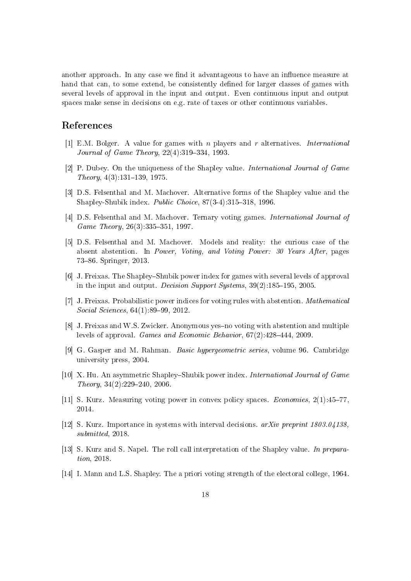another approach. In any case we find it advantageous to have an influence measure at hand that can, to some extend, be consistently defined for larger classes of games with several levels of approval in the input and output. Even continuous input and output spaces make sense in decisions on e.g. rate of taxes or other continuous variables.

#### References

- [1] E.M. Bolger. A value for games with n players and r alternatives. International *Journal of Game Theory,*  $22(4)$ :  $319-334$ , 1993.
- [2] P. Dubey. On the uniqueness of the Shapley value. International Journal of Game  $Theory, 4(3):131-139, 1975.$
- [3] D.S. Felsenthal and M. Machover. Alternative forms of the Shapley value and the Shapley-Shubik index. *Public Choice*,  $87(3-4):315-318$ , 1996.
- [4] D.S. Felsenthal and M. Machover. Ternary voting games. International Journal of Game Theory,  $26(3):335-351$ , 1997.
- [5] D.S. Felsenthal and M. Machover. Models and reality: the curious case of the absent abstention. In Power, Voting, and Voting Power: 30 Years After, pages 73-86. Springer, 2013.
- $|6|$  J. Freixas. The Shapley-Shubik power index for games with several levels of approval in the input and output. *Decision Support Systems*,  $39(2):185-195$ , 2005.
- [7] J. Freixas. Probabilistic power indices for voting rules with abstention. Mathematical  $Social\, Sciences, 64(1):89-99, 2012.$
- [8] J. Freixas and W.S. Zwicker. Anonymous yes-no voting with abstention and multiple levels of approval. Games and Economic Behavior,  $67(2)$ :428-444, 2009.
- [9] G. Gasper and M. Rahman. Basic hypergeometric series, volume 96. Cambridge university press, 2004.
- [10] X. Hu. An asymmetric Shapley-Shubik power index. *International Journal of Game*  $Theory, 34(2):229-240, 2006.$
- [11] S. Kurz. Measuring voting power in convex policy spaces. *Economies*,  $2(1)$ :45-77, 2014.
- [12] S. Kurz. Importance in systems with interval decisions. arXiv preprint 1803.04138, submitted, 2018.
- [13] S. Kurz and S. Napel. The roll call interpretation of the Shapley value. In preparation, 2018.
- [14] I. Mann and L.S. Shapley. The a priori voting strength of the electoral college, 1964.